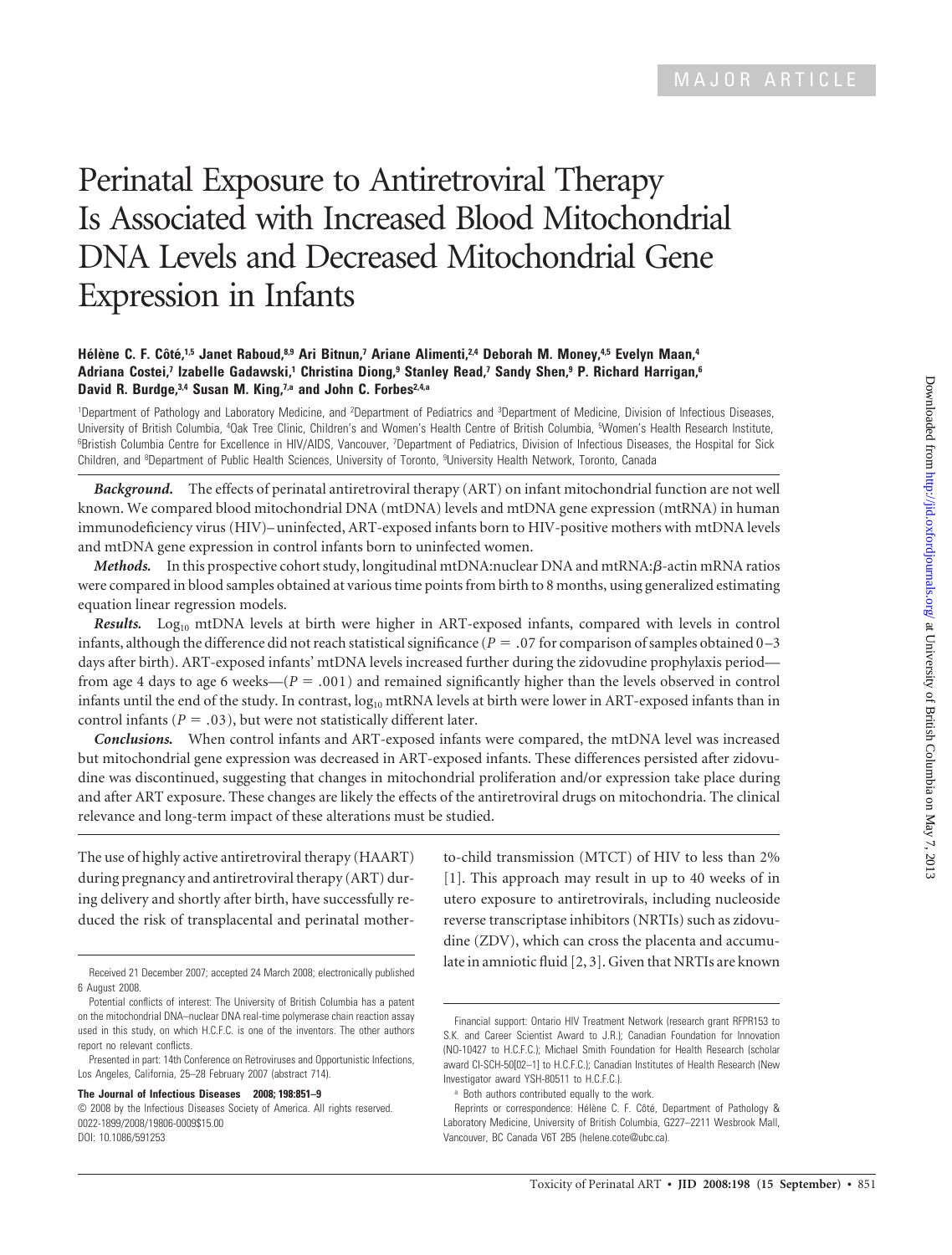# Perinatal Exposure to Antiretroviral Therapy Is Associated with Increased Blood Mitochondrial DNA Levels and Decreased Mitochondrial Gene Expression in Infants

#### **Hélène C. F. Côté,1,5 Janet Raboud,8,9 Ari Bitnun,7 Ariane Alimenti,2,4 Deborah M. Money,4,5 Evelyn Maan,4 Adriana Costei,7 Izabelle Gadawski,1 Christina Diong,9 Stanley Read,7 Sandy Shen,9 P. Richard Harrigan,6 David R. Burdge,3,4 Susan M. King,7,a and John C. Forbes2,4,a**

<sup>1</sup>Department of Pathology and Laboratory Medicine, and <sup>2</sup>Department of Pediatrics and <sup>3</sup>Department of Medicine, Division of Infectious Diseases, University of British Columbia, <sup>4</sup> Oak Tree Clinic, Children's and Women's Health Centre of British Columbia, <sup>5</sup> Women's Health Research Institute, <sup>6</sup>Bristish Columbia Centre for Excellence in HIV/AIDS, Vancouver, <sup>7</sup>Department of Pediatrics, Division of Infectious Diseases, the Hospital for Sick Children, and <sup>8</sup>Department of Public Health Sciences, University of Toronto, <sup>9</sup>University Health Network, Toronto, Canada

*Background.* The effects of perinatal antiretroviral therapy (ART) on infant mitochondrial function are not well known. We compared blood mitochondrial DNA (mtDNA) levels and mtDNA gene expression (mtRNA) in human immunodeficiency virus (HIV)– uninfected, ART-exposed infants born to HIV-positive mothers with mtDNA levels and mtDNA gene expression in control infants born to uninfected women.

*Methods.* In this prospective cohort study, longitudinal mtDNA:nuclear DNA and mtRNA: $\beta$ -actin mRNA ratios were compared in blood samples obtained at various time points from birth to 8 months, using generalized estimating equation linear regression models.

*Results.* Log<sub>10</sub> mtDNA levels at birth were higher in ART-exposed infants, compared with levels in control infants, although the difference did not reach statistical significance ( $P = .07$  for comparison of samples obtained  $0-3$ days after birth). ART-exposed infants' mtDNA levels increased further during the zidovudine prophylaxis period from age 4 days to age 6 weeks— $(P = .001)$  and remained significantly higher than the levels observed in control infants until the end of the study. In contrast,  $log_{10}$  mtRNA levels at birth were lower in ART-exposed infants than in control infants ( $P = .03$ ), but were not statistically different later.

*Conclusions.* When control infants and ART-exposed infants were compared, the mtDNA level was increased but mitochondrial gene expression was decreased in ART-exposed infants. These differences persisted after zidovudine was discontinued, suggesting that changes in mitochondrial proliferation and/or expression take place during and after ART exposure. These changes are likely the effects of the antiretroviral drugs on mitochondria. The clinical relevance and long-term impact of these alterations must be studied.

The use of highly active antiretroviral therapy (HAART) during pregnancy and antiretroviral therapy (ART) during delivery and shortly after birth, have successfully reduced the risk of transplacental and perinatal mother-

**The Journal of Infectious Diseases 2008; 198:851–9**

© 2008 by the Infectious Diseases Society of America. All rights reserved. 0022-1899/2008/19806-0009\$15.00 DOI: 10.1086/591253

to-child transmission (MTCT) of HIV to less than 2% [1]. This approach may result in up to 40 weeks of in utero exposure to antiretrovirals, including nucleoside reverse transcriptase inhibitors (NRTIs) such as zidovudine (ZDV), which can cross the placenta and accumulate in amniotic fluid [2, 3]. Given that NRTIs are known Received 21 December 2007; accepted 24 March 2008; electronically published Downloaded from http://jid.oxfordjournals.org/ at University of British Columbia on May 7, 2013 Downloaded from <http://jid.oxfordjournals.org/> at University of British Columbia on May 7, 2013

<sup>6</sup> August 2008.

Potential conflicts of interest: The University of British Columbia has a patent on the mitochondrial DNA–nuclear DNA real-time polymerase chain reaction assay used in this study, on which H.C.F.C. is one of the inventors. The other authors report no relevant conflicts.

Presented in part: 14th Conference on Retroviruses and Opportunistic Infections, Los Angeles, California, 25–28 February 2007 (abstract 714).

Financial support: Ontario HIV Treatment Network (research grant RFPR153 to S.K. and Career Scientist Award to J.R.); Canadian Foundation for Innovation (NO-10427 to H.C.F.C.); Michael Smith Foundation for Health Research (scholar award CI-SCH-50[02–1] to H.C.F.C.); Canadian Institutes of Health Research (New Investigator award YSH-80511 to H.C.F.C.).

<sup>&</sup>lt;sup>a</sup> Both authors contributed equally to the work.

Reprints or correspondence: Hélène C. F. Côté, Department of Pathology & Laboratory Medicine, University of British Columbia, G227–2211 Wesbrook Mall, Vancouver, BC Canada V6T 2B5 (helene.cote@ubc.ca).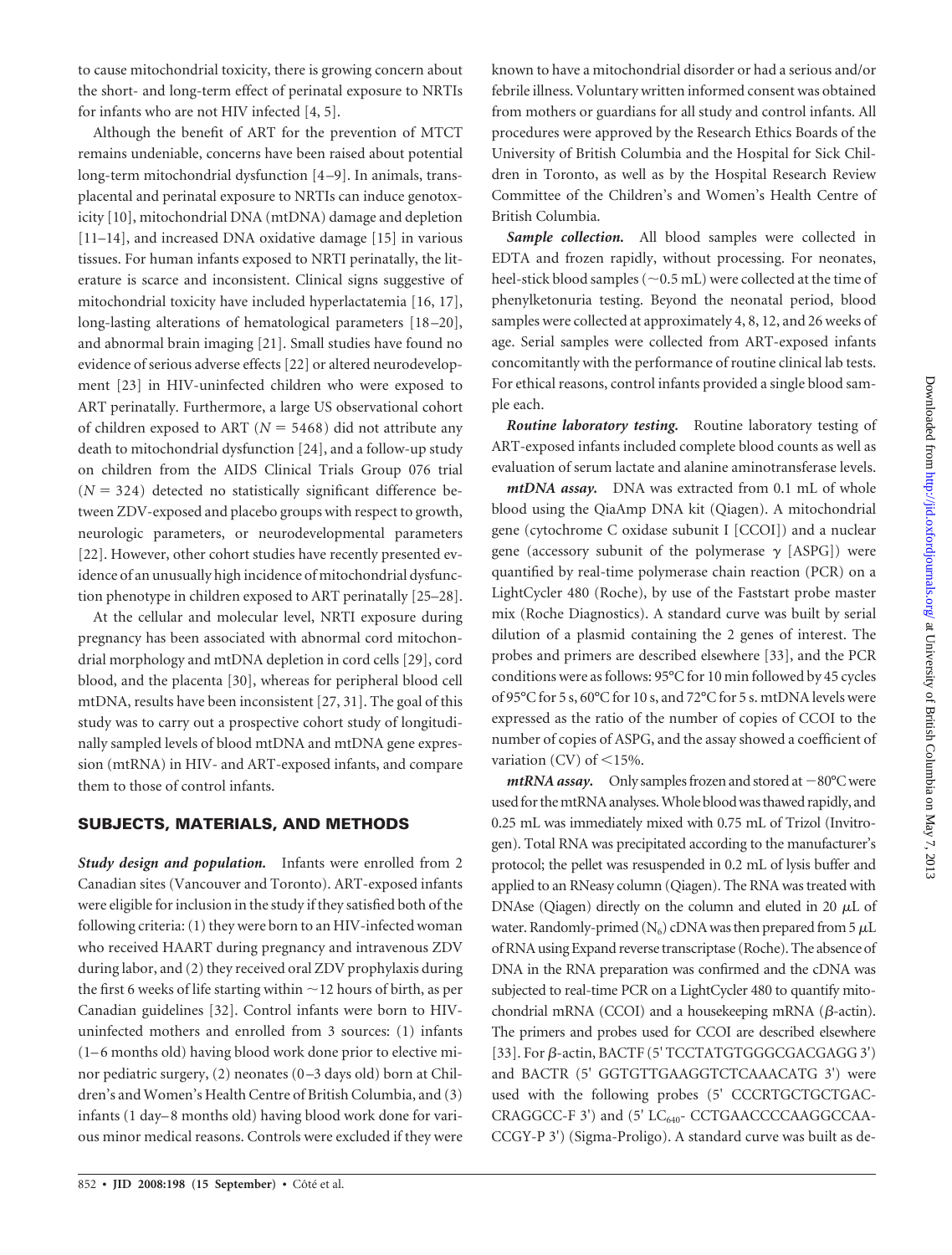to cause mitochondrial toxicity, there is growing concern about the short- and long-term effect of perinatal exposure to NRTIs for infants who are not HIV infected [4, 5].

Although the benefit of ART for the prevention of MTCT remains undeniable, concerns have been raised about potential long-term mitochondrial dysfunction [4 –9]. In animals, transplacental and perinatal exposure to NRTIs can induce genotoxicity [10], mitochondrial DNA (mtDNA) damage and depletion [11–14], and increased DNA oxidative damage [15] in various tissues. For human infants exposed to NRTI perinatally, the literature is scarce and inconsistent. Clinical signs suggestive of mitochondrial toxicity have included hyperlactatemia [16, 17], long-lasting alterations of hematological parameters [18-20], and abnormal brain imaging [21]. Small studies have found no evidence of serious adverse effects [22] or altered neurodevelopment [23] in HIV-uninfected children who were exposed to ART perinatally. Furthermore, a large US observational cohort of children exposed to ART ( $N = 5468$ ) did not attribute any death to mitochondrial dysfunction [24], and a follow-up study on children from the AIDS Clinical Trials Group 076 trial  $(N = 324)$  detected no statistically significant difference between ZDV-exposed and placebo groups with respect to growth, neurologic parameters, or neurodevelopmental parameters [22]. However, other cohort studies have recently presented evidence of an unusually high incidence of mitochondrial dysfunction phenotype in children exposed to ART perinatally [25–28].

At the cellular and molecular level, NRTI exposure during pregnancy has been associated with abnormal cord mitochondrial morphology and mtDNA depletion in cord cells [29], cord blood, and the placenta [30], whereas for peripheral blood cell mtDNA, results have been inconsistent [27, 31]. The goal of this study was to carry out a prospective cohort study of longitudinally sampled levels of blood mtDNA and mtDNA gene expression (mtRNA) in HIV- and ART-exposed infants, and compare them to those of control infants.

## **SUBJECTS, MATERIALS, AND METHODS**

*Study design and population.* Infants were enrolled from 2 Canadian sites (Vancouver and Toronto). ART-exposed infants were eligible for inclusion in the study if they satisfied both of the following criteria: (1) they were born to an HIV-infected woman who received HAART during pregnancy and intravenous ZDV during labor, and (2) they received oral ZDV prophylaxis during the first 6 weeks of life starting within  $\sim$  12 hours of birth, as per Canadian guidelines [32]. Control infants were born to HIVuninfected mothers and enrolled from 3 sources: (1) infants (1– 6 months old) having blood work done prior to elective minor pediatric surgery, (2) neonates (0-3 days old) born at Children's and Women's Health Centre of British Columbia, and (3) infants (1 day– 8 months old) having blood work done for various minor medical reasons. Controls were excluded if they were known to have a mitochondrial disorder or had a serious and/or febrile illness. Voluntary written informed consent was obtained from mothers or guardians for all study and control infants. All procedures were approved by the Research Ethics Boards of the University of British Columbia and the Hospital for Sick Children in Toronto, as well as by the Hospital Research Review Committee of the Children's and Women's Health Centre of British Columbia.

*Sample collection.* All blood samples were collected in EDTA and frozen rapidly, without processing. For neonates, heel-stick blood samples ( $\sim$ 0.5 mL) were collected at the time of phenylketonuria testing. Beyond the neonatal period, blood samples were collected at approximately 4, 8, 12, and 26 weeks of age. Serial samples were collected from ART-exposed infants concomitantly with the performance of routine clinical lab tests. For ethical reasons, control infants provided a single blood sample each.

*Routine laboratory testing.* Routine laboratory testing of ART-exposed infants included complete blood counts as well as evaluation of serum lactate and alanine aminotransferase levels.

*mtDNA assay.* DNA was extracted from 0.1 mL of whole blood using the QiaAmp DNA kit (Qiagen). A mitochondrial gene (cytochrome C oxidase subunit I [CCOI]) and a nuclear gene (accessory subunit of the polymerase  $\gamma$  [ASPG]) were quantified by real-time polymerase chain reaction (PCR) on a LightCycler 480 (Roche), by use of the Faststart probe master mix (Roche Diagnostics). A standard curve was built by serial dilution of a plasmid containing the 2 genes of interest. The probes and primers are described elsewhere [33], and the PCR conditions were as follows: 95°C for 10 min followed by 45 cycles of 95°C for 5 s, 60°C for 10 s, and 72°C for 5 s. mtDNA levels were expressed as the ratio of the number of copies of CCOI to the number of copies of ASPG, and the assay showed a coefficient of variation (CV) of  $\leq$ 15%.

 $mtRNA$  *assay.* Only samples frozen and stored at  $-80^{\circ}$ C were used for the mtRNA analyses. Whole blood was thawed rapidly, and 0.25 mL was immediately mixed with 0.75 mL of Trizol (Invitrogen). Total RNA was precipitated according to the manufacturer's protocol; the pellet was resuspended in 0.2 mL of lysis buffer and applied to an RNeasy column (Qiagen). The RNA was treated with DNAse (Qiagen) directly on the column and eluted in 20  $\mu$ L of water. Randomly-primed ( $N_6$ ) cDNA was then prepared from 5  $\mu$ L of RNA using Expand reverse transcriptase (Roche). The absence of DNA in the RNA preparation was confirmed and the cDNA was subjected to real-time PCR on a LightCycler 480 to quantify mitochondrial mRNA (CCOI) and a housekeeping mRNA ( $\beta$ -actin). The primers and probes used for CCOI are described elsewhere [33]. For  $\beta$ -actin, BACTF (5' TCCTATGTGGGCGACGAGG 3') and BACTR (5' GGTGTTGAAGGTCTCAAACATG 3') were used with the following probes (5' CCCRTGCTGCTGAC- $CRAGGCC-F 3'$ ) and  $(5' LC_{640} - CCTGAACCCCAAGGCCAA-$ CCGY-P 3') (Sigma-Proligo). A standard curve was built as de-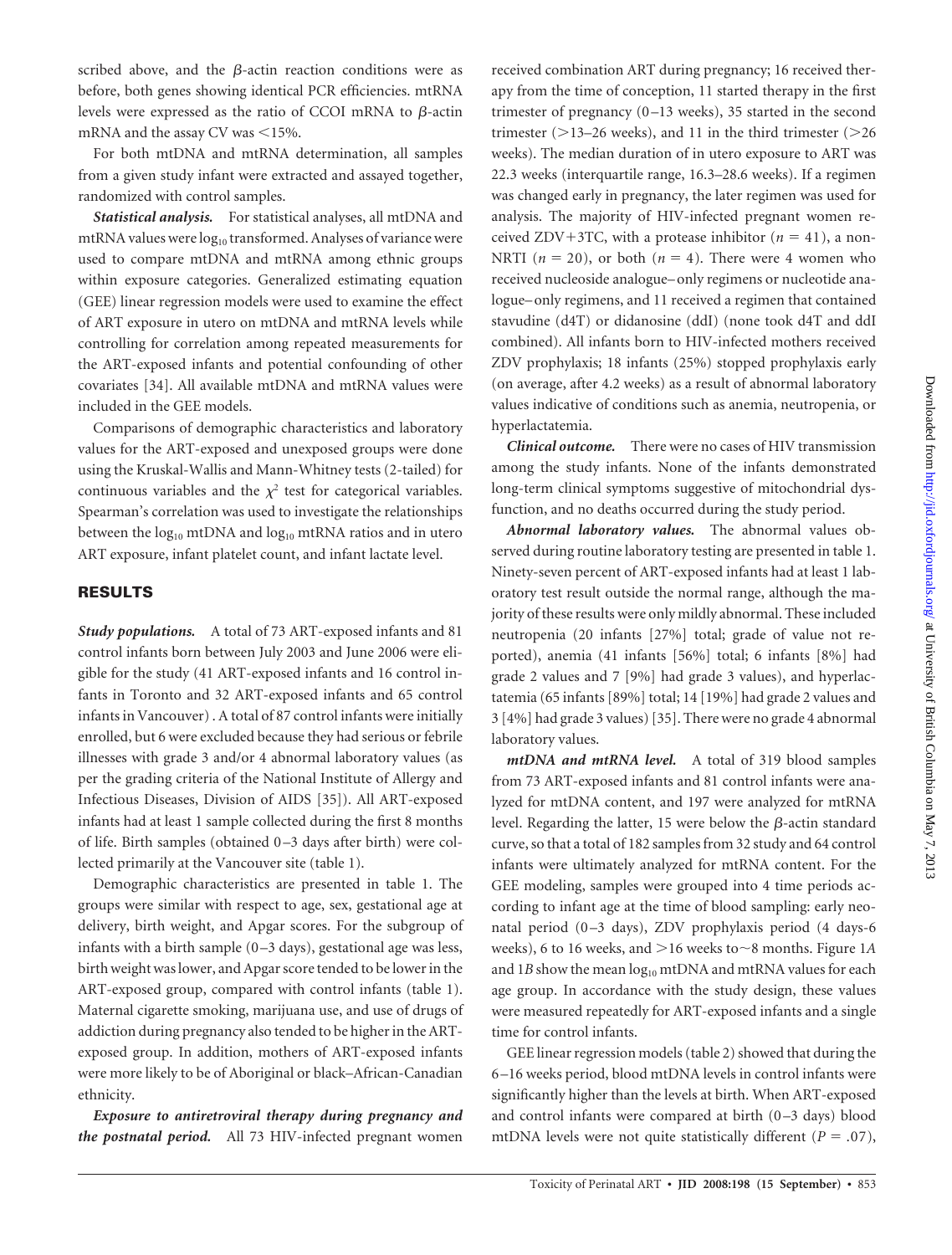scribed above, and the  $\beta$ -actin reaction conditions were as before, both genes showing identical PCR efficiencies. mtRNA levels were expressed as the ratio of CCOI mRNA to  $\beta$ -actin mRNA and the assay CV was  $\leq$ 15%.

For both mtDNA and mtRNA determination, all samples from a given study infant were extracted and assayed together, randomized with control samples.

*Statistical analysis.* For statistical analyses, all mtDNA and mtRNA values were  $log_{10}$  transformed. Analyses of variance were used to compare mtDNA and mtRNA among ethnic groups within exposure categories. Generalized estimating equation (GEE) linear regression models were used to examine the effect of ART exposure in utero on mtDNA and mtRNA levels while controlling for correlation among repeated measurements for the ART-exposed infants and potential confounding of other covariates [34]. All available mtDNA and mtRNA values were included in the GEE models.

Comparisons of demographic characteristics and laboratory values for the ART-exposed and unexposed groups were done using the Kruskal-Wallis and Mann-Whitney tests (2-tailed) for continuous variables and the  $\chi^2$  test for categorical variables. Spearman's correlation was used to investigate the relationships between the  $log_{10}$  mtDNA and  $log_{10}$  mtRNA ratios and in utero ART exposure, infant platelet count, and infant lactate level.

# **RESULTS**

*Study populations.* A total of 73 ART-exposed infants and 81 control infants born between July 2003 and June 2006 were eligible for the study (41 ART-exposed infants and 16 control infants in Toronto and 32 ART-exposed infants and 65 control infants in Vancouver) . A total of 87 control infants were initially enrolled, but 6 were excluded because they had serious or febrile illnesses with grade 3 and/or 4 abnormal laboratory values (as per the grading criteria of the National Institute of Allergy and Infectious Diseases, Division of AIDS [35]). All ART-exposed infants had at least 1 sample collected during the first 8 months of life. Birth samples (obtained 0 –3 days after birth) were collected primarily at the Vancouver site (table 1).

Demographic characteristics are presented in table 1. The groups were similar with respect to age, sex, gestational age at delivery, birth weight, and Apgar scores. For the subgroup of infants with a birth sample  $(0-3 \text{ days})$ , gestational age was less, birth weight was lower, and Apgar score tended to be lower in the ART-exposed group, compared with control infants (table 1). Maternal cigarette smoking, marijuana use, and use of drugs of addiction during pregnancy also tended to be higher in the ARTexposed group. In addition, mothers of ART-exposed infants were more likely to be of Aboriginal or black–African-Canadian ethnicity.

*Exposure to antiretroviral therapy during pregnancy and the postnatal period.* All 73 HIV-infected pregnant women

received combination ART during pregnancy; 16 received therapy from the time of conception, 11 started therapy in the first trimester of pregnancy (0-13 weeks), 35 started in the second trimester ( $>$ 13–26 weeks), and 11 in the third trimester ( $>$ 26 weeks). The median duration of in utero exposure to ART was 22.3 weeks (interquartile range, 16.3–28.6 weeks). If a regimen was changed early in pregnancy, the later regimen was used for analysis. The majority of HIV-infected pregnant women received ZDV+3TC, with a protease inhibitor  $(n = 41)$ , a non-NRTI ( $n = 20$ ), or both ( $n = 4$ ). There were 4 women who received nucleoside analogue– only regimens or nucleotide analogue– only regimens, and 11 received a regimen that contained stavudine (d4T) or didanosine (ddI) (none took d4T and ddI combined). All infants born to HIV-infected mothers received ZDV prophylaxis; 18 infants (25%) stopped prophylaxis early (on average, after 4.2 weeks) as a result of abnormal laboratory values indicative of conditions such as anemia, neutropenia, or hyperlactatemia.

*Clinical outcome.* There were no cases of HIV transmission among the study infants. None of the infants demonstrated long-term clinical symptoms suggestive of mitochondrial dysfunction, and no deaths occurred during the study period.

*Abnormal laboratory values.* The abnormal values observed during routine laboratory testing are presented in table 1. Ninety-seven percent of ART-exposed infants had at least 1 laboratory test result outside the normal range, although the majority of these results were only mildly abnormal. These included neutropenia (20 infants [27%] total; grade of value not reported), anemia (41 infants [56%] total; 6 infants [8%] had grade 2 values and 7 [9%] had grade 3 values), and hyperlactatemia (65 infants [89%] total; 14 [19%] had grade 2 values and 3 [4%] had grade 3 values) [35]. There were no grade 4 abnormal laboratory values.

*mtDNA and mtRNA level.* A total of 319 blood samples from 73 ART-exposed infants and 81 control infants were analyzed for mtDNA content, and 197 were analyzed for mtRNA level. Regarding the latter, 15 were below the  $\beta$ -actin standard curve, so that a total of 182 samples from 32 study and 64 control infants were ultimately analyzed for mtRNA content. For the GEE modeling, samples were grouped into 4 time periods according to infant age at the time of blood sampling: early neonatal period (0 –3 days), ZDV prophylaxis period (4 days-6 weeks), 6 to 16 weeks, and  $>$ 16 weeks to $\sim$ 8 months. Figure 1A and 1*B* show the mean  $log_{10}$  mtDNA and mtRNA values for each age group. In accordance with the study design, these values were measured repeatedly for ART-exposed infants and a single time for control infants.

GEE linear regression models (table 2) showed that during the 6 –16 weeks period, blood mtDNA levels in control infants were significantly higher than the levels at birth. When ART-exposed and control infants were compared at birth (0-3 days) blood mtDNA levels were not quite statistically different  $(P = .07)$ ,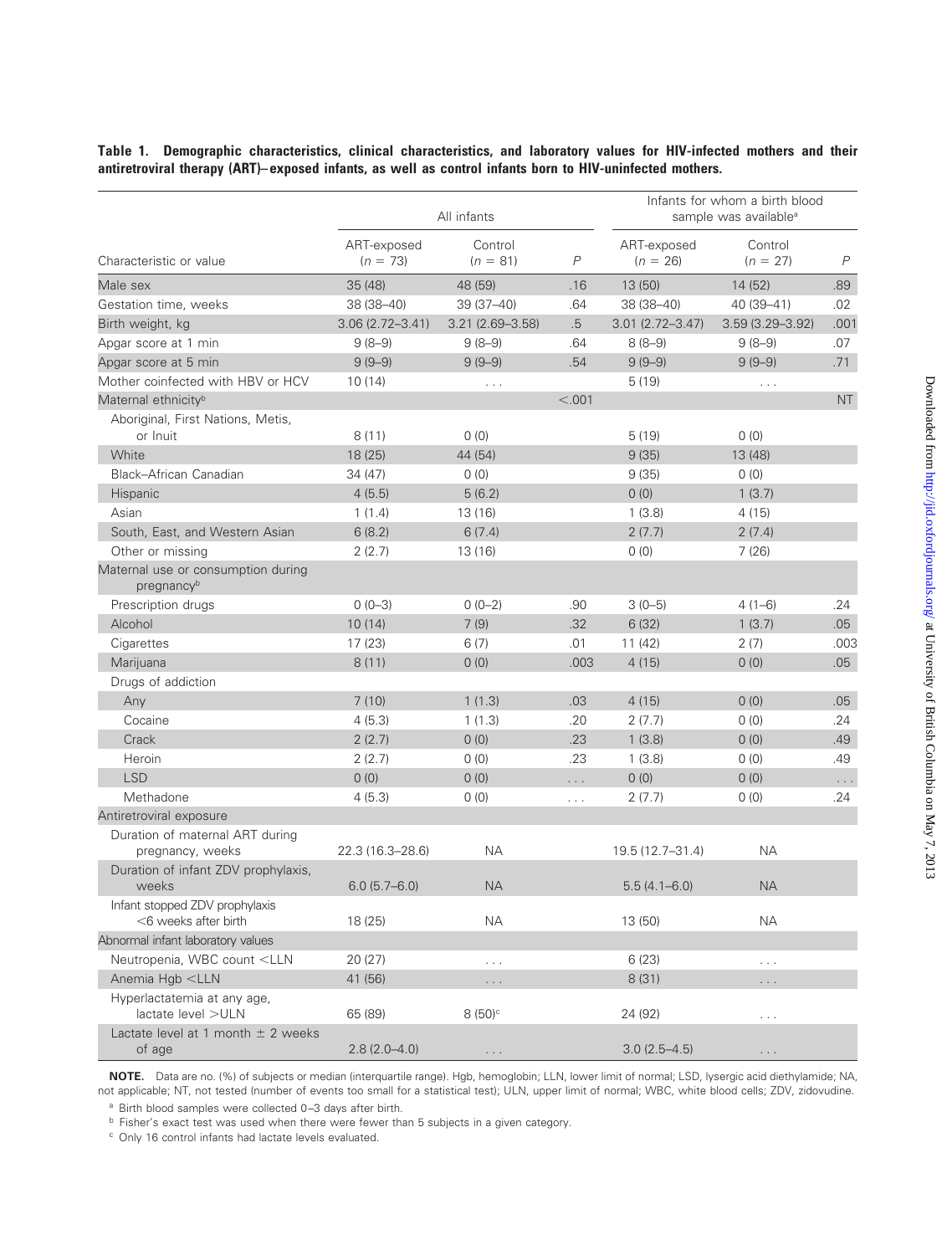**Table 1. Demographic characteristics, clinical characteristics, and laboratory values for HIV-infected mothers and their antiretroviral therapy (ART)– exposed infants, as well as control infants born to HIV-uninfected mothers.**

|                                                                                                                                                                                                                                                                                                                              |                           | All infants           | Infants for whom a birth blood<br>sample was available <sup>a</sup> |                           |                       |                |
|------------------------------------------------------------------------------------------------------------------------------------------------------------------------------------------------------------------------------------------------------------------------------------------------------------------------------|---------------------------|-----------------------|---------------------------------------------------------------------|---------------------------|-----------------------|----------------|
| Characteristic or value                                                                                                                                                                                                                                                                                                      | ART-exposed<br>$(n = 73)$ | Control<br>$(n = 81)$ | $\mathsf{P}$                                                        | ART-exposed<br>$(n = 26)$ | Control<br>$(n = 27)$ | $\overline{P}$ |
| Male sex                                                                                                                                                                                                                                                                                                                     | 35 (48)                   | 48 (59)               | .16                                                                 | 13 (50)                   | 14(52)                | .89            |
| Gestation time, weeks                                                                                                                                                                                                                                                                                                        | 38 (38-40)                | $39(37 - 40)$         | .64                                                                 | 38 (38-40)                | 40 (39-41)            | .02            |
| Birth weight, kg                                                                                                                                                                                                                                                                                                             | $3.06(2.72 - 3.41)$       | 3.21 (2.69-3.58)      | $.5\,$                                                              | $3.01(2.72 - 3.47)$       | $3.59(3.29 - 3.92)$   | .001           |
| Apgar score at 1 min                                                                                                                                                                                                                                                                                                         | $9(8-9)$                  | $9(8-9)$              | .64                                                                 | $8(8-9)$                  | $9(8-9)$              | .07            |
| Apgar score at 5 min                                                                                                                                                                                                                                                                                                         | $9(9-9)$                  | $9(9-9)$              | .54                                                                 | $9(9-9)$                  | $9(9-9)$              | .71            |
| Mother coinfected with HBV or HCV                                                                                                                                                                                                                                                                                            | 10(14)                    | $\ldots$              |                                                                     | 5(19)                     | $\cdots$              |                |
| Maternal ethnicity <sup>b</sup>                                                                                                                                                                                                                                                                                              |                           |                       | < .001                                                              |                           |                       | <b>NT</b>      |
| Aboriginal, First Nations, Metis,<br>or Inuit                                                                                                                                                                                                                                                                                | 8(11)                     | 0(0)                  |                                                                     | 5(19)                     | 0(0)                  |                |
| White                                                                                                                                                                                                                                                                                                                        | 18 (25)                   | 44 (54)               |                                                                     | 9(35)                     | 13 (48)               |                |
| Black-African Canadian                                                                                                                                                                                                                                                                                                       | 34 (47)                   | 0(0)                  |                                                                     | 9(35)                     | 0(0)                  |                |
| Hispanic                                                                                                                                                                                                                                                                                                                     | 4(5.5)                    | 5(6.2)                |                                                                     | 0(0)                      | 1(3.7)                |                |
| Asian                                                                                                                                                                                                                                                                                                                        | 1(1.4)                    | 13 (16)               |                                                                     | 1(3.8)                    | 4(15)                 |                |
| South, East, and Western Asian                                                                                                                                                                                                                                                                                               | 6(8.2)                    | 6(7.4)                |                                                                     | 2(7.7)                    | 2(7.4)                |                |
| Other or missing                                                                                                                                                                                                                                                                                                             | 2(2.7)                    | 13 (16)               |                                                                     | 0(0)                      | 7(26)                 |                |
| Maternal use or consumption during<br>pregnancyb                                                                                                                                                                                                                                                                             |                           |                       |                                                                     |                           |                       |                |
| Prescription drugs                                                                                                                                                                                                                                                                                                           | $0(0-3)$                  | $0(0-2)$              | .90                                                                 | $3(0-5)$                  | $4(1-6)$              | .24            |
| Alcohol                                                                                                                                                                                                                                                                                                                      | 10(14)                    | 7(9)                  | .32                                                                 | 6(32)                     | 1(3.7)                | .05            |
| Cigarettes                                                                                                                                                                                                                                                                                                                   | 17(23)                    | 6(7)                  | .01                                                                 | 11(42)                    | 2(7)                  | .003           |
| Marijuana                                                                                                                                                                                                                                                                                                                    | 8(11)                     | O(0)                  | .003                                                                | 4(15)                     | 0(0)                  | .05            |
| Drugs of addiction                                                                                                                                                                                                                                                                                                           |                           |                       |                                                                     |                           |                       |                |
| Any                                                                                                                                                                                                                                                                                                                          | 7(10)                     | 1(1.3)                | .03                                                                 | 4(15)                     | 0(0)                  | .05            |
| Cocaine                                                                                                                                                                                                                                                                                                                      | 4(5.3)                    | 1(1.3)                | .20                                                                 | 2(7.7)                    | O(0)                  | .24            |
| Crack                                                                                                                                                                                                                                                                                                                        | 2(2.7)                    | 0(0)                  | .23                                                                 | 1(3.8)                    | 0(0)                  | .49            |
| Heroin                                                                                                                                                                                                                                                                                                                       | 2(2.7)                    | 0(0)                  | .23                                                                 | 1(3.8)                    | 0(0)                  | .49            |
| <b>LSD</b>                                                                                                                                                                                                                                                                                                                   | 0(0)                      | 0(0)                  | .                                                                   | 0(0)                      | 0(0)                  | $\ldots$       |
| Methadone                                                                                                                                                                                                                                                                                                                    | 4(5.3)                    | 0(0)                  | $\ldots$                                                            | 2(7.7)                    | O(0)                  | .24            |
| Antiretroviral exposure                                                                                                                                                                                                                                                                                                      |                           |                       |                                                                     |                           |                       |                |
| Duration of maternal ART during                                                                                                                                                                                                                                                                                              |                           |                       |                                                                     |                           |                       |                |
| pregnancy, weeks                                                                                                                                                                                                                                                                                                             | 22.3 (16.3-28.6)          | <b>NA</b>             |                                                                     | 19.5 (12.7-31.4)          | <b>NA</b>             |                |
| Duration of infant ZDV prophylaxis,<br>weeks                                                                                                                                                                                                                                                                                 | $6.0(5.7 - 6.0)$          | <b>NA</b>             |                                                                     | $5.5(4.1 - 6.0)$          | <b>NA</b>             |                |
| Infant stopped ZDV prophylaxis<br>$<$ 6 weeks after birth                                                                                                                                                                                                                                                                    | 18 (25)                   | <b>NA</b>             |                                                                     | 13 (50)                   | NА                    |                |
| Abnormal infant laboratory values                                                                                                                                                                                                                                                                                            |                           |                       |                                                                     |                           |                       |                |
| Neutropenia, WBC count <lln< td=""><td>20 (27)</td><td><math display="inline">\sim</math> <math display="inline">\sim</math> <math display="inline">\sim</math></td><td></td><td>6(23)</td><td><math display="inline">\sim</math> <math display="inline">\sim</math> <math display="inline">\sim</math></td><td></td></lln<> | 20 (27)                   | $\sim$ $\sim$ $\sim$  |                                                                     | 6(23)                     | $\sim$ $\sim$ $\sim$  |                |
| Anemia Hgb <lln< td=""><td>41 (56)</td><td><math>\cdots</math></td><td></td><td>8 (31)</td><td>.</td><td></td></lln<>                                                                                                                                                                                                        | 41 (56)                   | $\cdots$              |                                                                     | 8 (31)                    | .                     |                |
| Hyperlactatemia at any age,<br>lactate level >ULN                                                                                                                                                                                                                                                                            | 65 (89)                   | $8(50)$ <sup>c</sup>  |                                                                     | 24 (92)                   | $\cdots$              |                |
| Lactate level at 1 month $\pm$ 2 weeks<br>of age                                                                                                                                                                                                                                                                             | $2.8(2.0-4.0)$            |                       |                                                                     | $3.0(2.5 - 4.5)$          | .                     |                |

**NOTE.** Data are no. (%) of subjects or median (interquartile range). Hgb, hemoglobin; LLN, lower limit of normal; LSD, lysergic acid diethylamide; NA, not applicable; NT, not tested (number of events too small for a statistical test); ULN, upper limit of normal; WBC, white blood cells; ZDV, zidovudine.

a Birth blood samples were collected 0-3 days after birth.

<sup>b</sup> Fisher's exact test was used when there were fewer than 5 subjects in a given category.

<sup>c</sup> Only 16 control infants had lactate levels evaluated.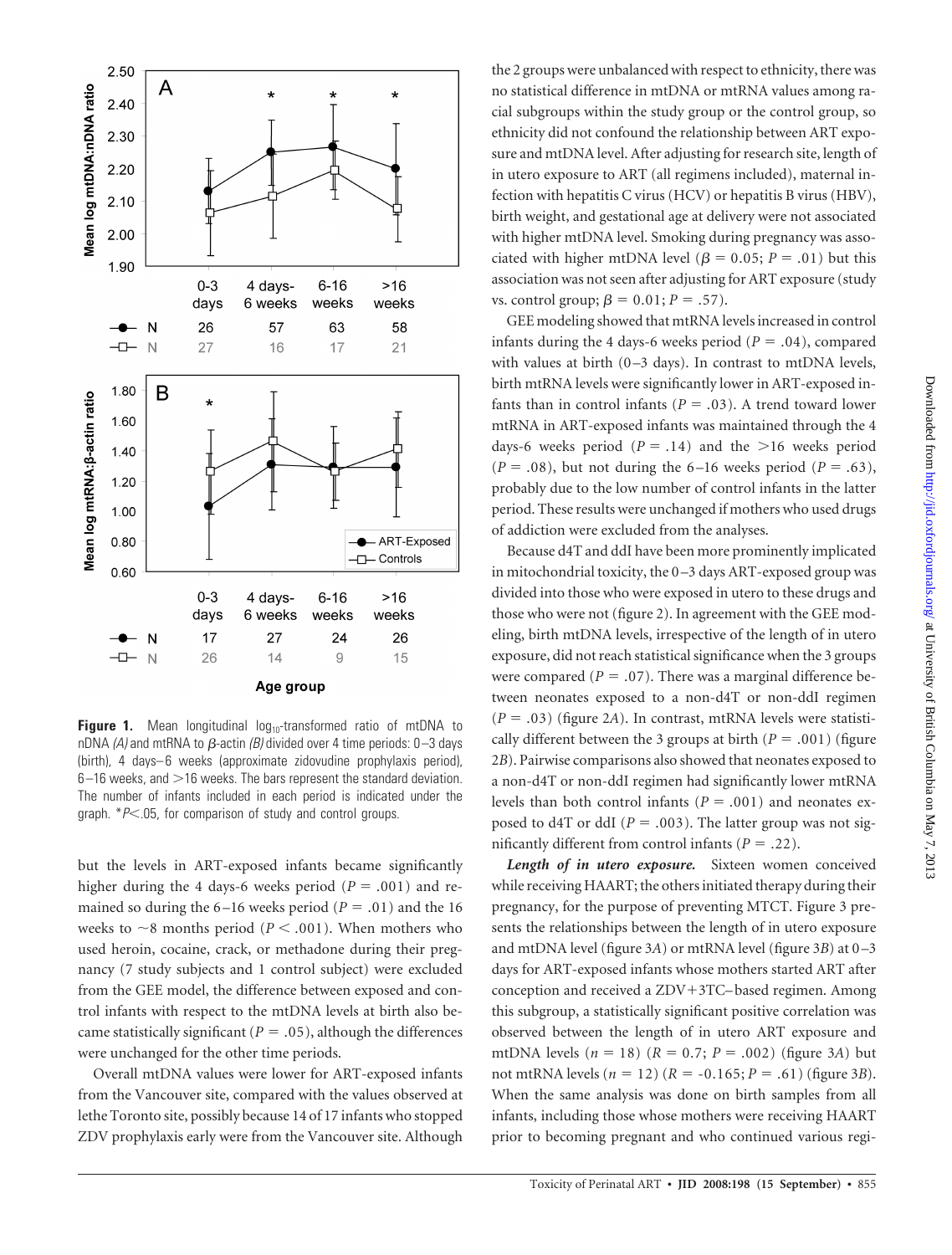

**Figure 1.** Mean longitudinal log<sub>10</sub>-transformed ratio of mtDNA to nDNA  $(A)$  and mtRNA to  $\beta$ -actin  $(B)$  divided over 4 time periods: 0–3 days (birth), 4 days– 6 weeks (approximate zidovudine prophylaxis period),  $6 - 16$  weeks, and  $> 16$  weeks. The bars represent the standard deviation. The number of infants included in each period is indicated under the graph. \*P<.05, for comparison of study and control groups.

but the levels in ART-exposed infants became significantly higher during the 4 days-6 weeks period  $(P = .001)$  and remained so during the  $6-16$  weeks period ( $P = .01$ ) and the 16 weeks to  $\sim$ 8 months period (*P* < .001). When mothers who used heroin, cocaine, crack, or methadone during their pregnancy (7 study subjects and 1 control subject) were excluded from the GEE model, the difference between exposed and control infants with respect to the mtDNA levels at birth also became statistically significant ( $P = .05$ ), although the differences were unchanged for the other time periods.

Overall mtDNA values were lower for ART-exposed infants from the Vancouver site, compared with the values observed at lethe Toronto site, possibly because 14 of 17 infants who stopped ZDV prophylaxis early were from the Vancouver site. Although the 2 groups were unbalanced with respect to ethnicity, there was no statistical difference in mtDNA or mtRNA values among racial subgroups within the study group or the control group, so ethnicity did not confound the relationship between ART exposure and mtDNA level. After adjusting for research site, length of in utero exposure to ART (all regimens included), maternal infection with hepatitis C virus (HCV) or hepatitis B virus (HBV), birth weight, and gestational age at delivery were not associated with higher mtDNA level. Smoking during pregnancy was associated with higher mtDNA level ( $\beta = 0.05$ ;  $P = .01$ ) but this association was not seen after adjusting for ART exposure (study vs. control group;  $\beta = 0.01; P = .57$ ).

GEE modeling showed that mtRNA levels increased in control infants during the 4 days-6 weeks period ( $P = .04$ ), compared with values at birth  $(0-3$  days). In contrast to mtDNA levels, birth mtRNA levels were significantly lower in ART-exposed infants than in control infants ( $P = .03$ ). A trend toward lower mtRNA in ART-exposed infants was maintained through the 4 days-6 weeks period  $(P = .14)$  and the >16 weeks period  $(P = .08)$ , but not during the 6–16 weeks period  $(P = .63)$ , probably due to the low number of control infants in the latter period. These results were unchanged if mothers who used drugs of addiction were excluded from the analyses.

Because d4T and ddI have been more prominently implicated in mitochondrial toxicity, the 0 –3 days ART-exposed group was divided into those who were exposed in utero to these drugs and those who were not (figure 2). In agreement with the GEE modeling, birth mtDNA levels, irrespective of the length of in utero exposure, did not reach statistical significance when the 3 groups were compared  $(P = .07)$ . There was a marginal difference between neonates exposed to a non-d4T or non-ddI regimen  $(P = .03)$  (figure 2A). In contrast, mtRNA levels were statistically different between the 3 groups at birth  $(P = .001)$  (figure 2*B*). Pairwise comparisons also showed that neonates exposed to a non-d4T or non-ddI regimen had significantly lower mtRNA levels than both control infants ( $P = .001$ ) and neonates exposed to d4T or ddI ( $P = .003$ ). The latter group was not significantly different from control infants ( $P = .22$ ).

*Length of in utero exposure.* Sixteen women conceived while receiving HAART; the others initiated therapy during their pregnancy, for the purpose of preventing MTCT. Figure 3 presents the relationships between the length of in utero exposure and mtDNA level (figure 3*A*) or mtRNA level (figure 3*B*) at 0 –3 days for ART-exposed infants whose mothers started ART after conception and received a  $ZDV+3TC$ – based regimen. Among this subgroup, a statistically significant positive correlation was observed between the length of in utero ART exposure and mtDNA levels  $(n = 18)$   $(R = 0.7; P = .002)$  (figure 3*A*) but not mtRNA levels ( $n = 12$ ) ( $R = -0.165; P = .61$ ) (figure 3*B*). When the same analysis was done on birth samples from all infants, including those whose mothers were receiving HAART prior to becoming pregnant and who continued various regi-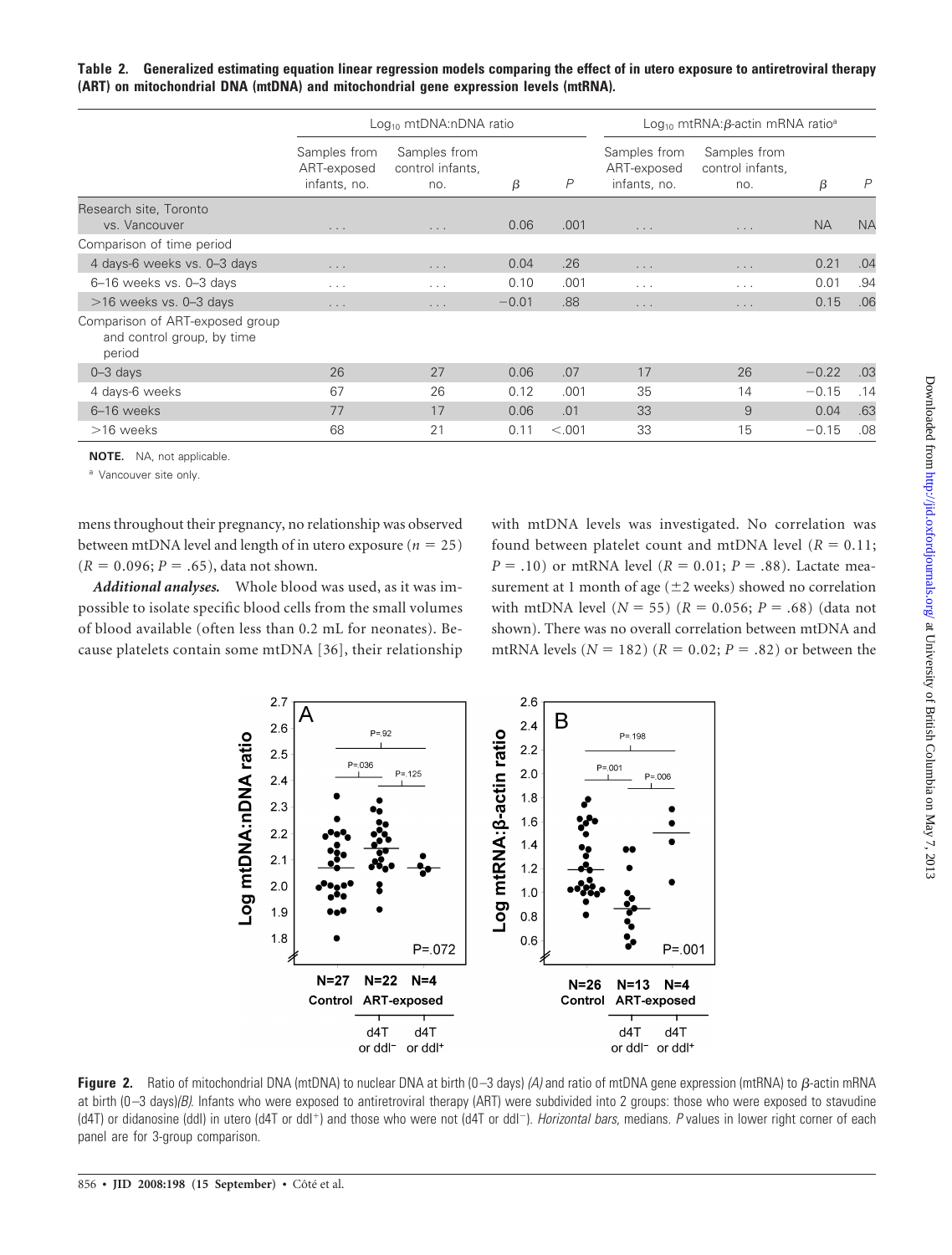**Table 2. Generalized estimating equation linear regression models comparing the effect of in utero exposure to antiretroviral therapy (ART) on mitochondrial DNA (mtDNA) and mitochondrial gene expression levels (mtRNA).**

|                                                                         | $Log10$ mtDNA:nDNA ratio                    |                                         |         |               | Log <sub>10</sub> mtRNA: $\beta$ -actin mRNA ratio <sup>a</sup> |                                         |           |                |
|-------------------------------------------------------------------------|---------------------------------------------|-----------------------------------------|---------|---------------|-----------------------------------------------------------------|-----------------------------------------|-----------|----------------|
|                                                                         | Samples from<br>ART-exposed<br>infants, no. | Samples from<br>control infants,<br>no. | β       | $\mathcal{P}$ | Samples from<br>ART-exposed<br>infants, no.                     | Samples from<br>control infants,<br>no. | β         | $\overline{P}$ |
| Research site, Toronto<br>vs. Vancouver                                 | $\cdots$                                    | $\cdots$                                | 0.06    | .001          | $\cdots$                                                        | $\cdots$                                | <b>NA</b> | <b>NA</b>      |
| Comparison of time period                                               |                                             |                                         |         |               |                                                                 |                                         |           |                |
| 4 days-6 weeks vs. 0-3 days                                             | .                                           | $\cdots$                                | 0.04    | .26           | $\cdots$                                                        | $\cdots$                                | 0.21      | .04            |
| $6-16$ weeks vs. $0-3$ days                                             | .                                           | $\cdots$                                | 0.10    | .001          | $\cdots$                                                        | $\cdots$                                | 0.01      | .94            |
| $>16$ weeks vs. 0-3 days                                                | $\cdots$                                    | $\cdots$                                | $-0.01$ | .88           | $\cdots$                                                        | $\cdots$                                | 0.15      | .06            |
| Comparison of ART-exposed group<br>and control group, by time<br>period |                                             |                                         |         |               |                                                                 |                                         |           |                |
| $0 - 3$ days                                                            | 26                                          | 27                                      | 0.06    | .07           | 17                                                              | 26                                      | $-0.22$   | .03            |
| 4 days-6 weeks                                                          | 67                                          | 26                                      | 0.12    | .001          | 35                                                              | 14                                      | $-0.15$   | .14            |
| 6-16 weeks                                                              | 77                                          | 17                                      | 0.06    | .01           | 33                                                              | 9                                       | 0.04      | .63            |
| $>16$ weeks                                                             | 68                                          | 21                                      | 0.11    | < .001        | 33                                                              | 15                                      | $-0.15$   | .08            |

**NOTE.** NA, not applicable.

a Vancouver site only.

mens throughout their pregnancy, no relationship was observed between mtDNA level and length of in utero exposure ( $n = 25$ )  $(R = 0.096; P = .65)$ , data not shown.

*Additional analyses.* Whole blood was used, as it was impossible to isolate specific blood cells from the small volumes of blood available (often less than 0.2 mL for neonates). Because platelets contain some mtDNA [36], their relationship with mtDNA levels was investigated. No correlation was found between platelet count and mtDNA level  $(R = 0.11;$  $P = .10$ ) or mtRNA level ( $R = 0.01$ ;  $P = .88$ ). Lactate measurement at 1 month of age ( $\pm$ 2 weeks) showed no correlation with mtDNA level  $(N = 55)$   $(R = 0.056; P = .68)$  (data not shown). There was no overall correlation between mtDNA and mtRNA levels ( $N = 182$ ) ( $R = 0.02$ ;  $P = .82$ ) or between the



**Figure 2.** Ratio of mitochondrial DNA (mtDNA) to nuclear DNA at birth (0-3 days) (A) and ratio of mtDNA gene expression (mtRNA) to B-actin mRNA at birth (0-3 days)*(B)*. Infants who were exposed to antiretroviral therapy (ART) were subdivided into 2 groups: those who were exposed to stavudine (d4T) or didanosine (ddI) in utero (d4T or ddI<sup>+</sup>) and those who were not (d4T or ddI<sup>-</sup>). *Horizontal bars*, medians. *P* values in lower right corner of each panel are for 3-group comparison.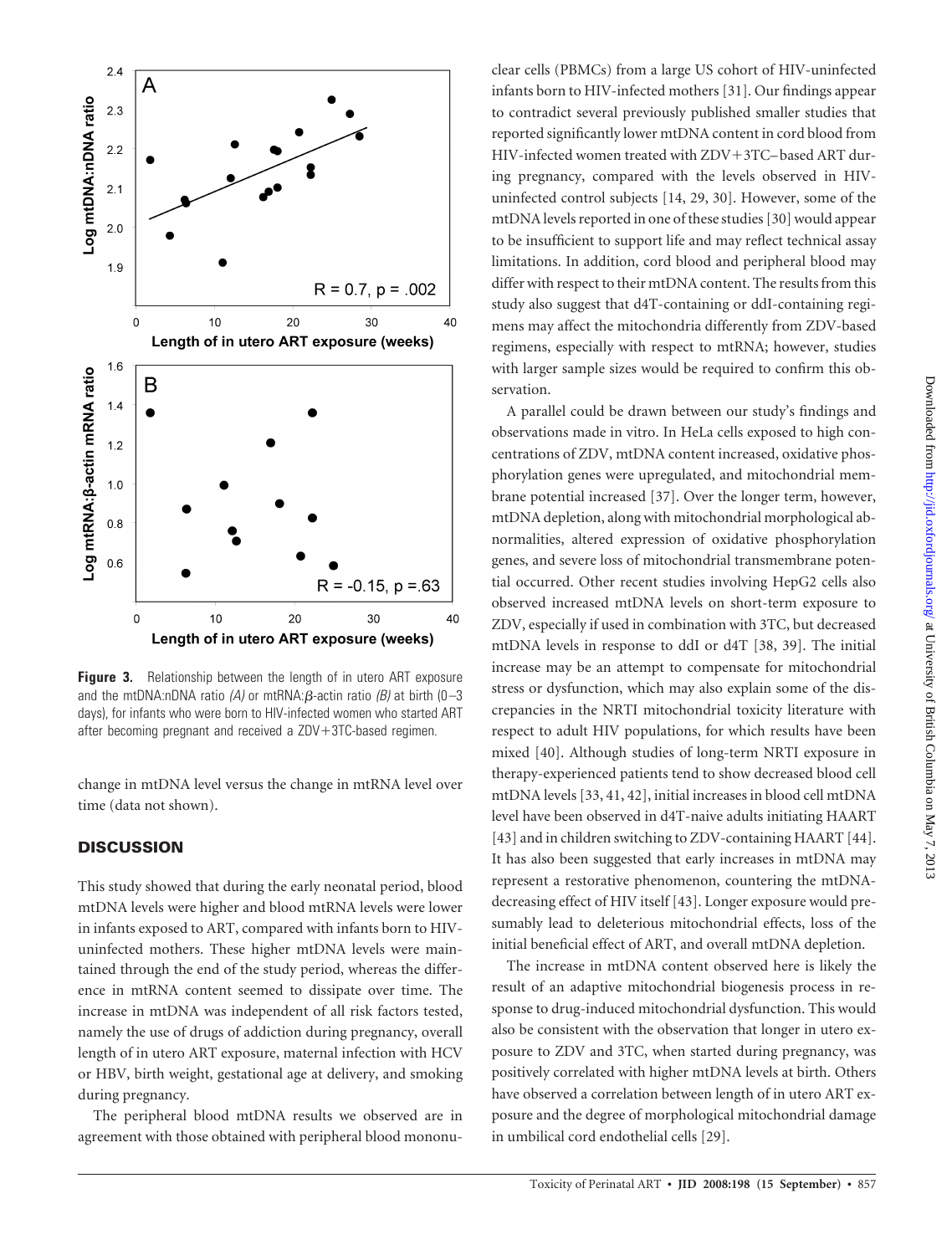

**Figure 3.** Relationship between the length of in utero ART exposure and the mtDNA:nDNA ratio  $(A)$  or mtRNA: $\beta$ -actin ratio  $(B)$  at birth (0-3) days), for infants who were born to HIV-infected women who started ART after becoming pregnant and received a  $ZDV+3TC$ -based regimen.

change in mtDNA level versus the change in mtRNA level over time (data not shown).

## **DISCUSSION**

This study showed that during the early neonatal period, blood mtDNA levels were higher and blood mtRNA levels were lower in infants exposed to ART, compared with infants born to HIVuninfected mothers. These higher mtDNA levels were maintained through the end of the study period, whereas the difference in mtRNA content seemed to dissipate over time. The increase in mtDNA was independent of all risk factors tested, namely the use of drugs of addiction during pregnancy, overall length of in utero ART exposure, maternal infection with HCV or HBV, birth weight, gestational age at delivery, and smoking during pregnancy.

The peripheral blood mtDNA results we observed are in agreement with those obtained with peripheral blood mononuclear cells (PBMCs) from a large US cohort of HIV-uninfected infants born to HIV-infected mothers [31]. Our findings appear to contradict several previously published smaller studies that reported significantly lower mtDNA content in cord blood from HIV-infected women treated with ZDV+3TC– based ART during pregnancy, compared with the levels observed in HIVuninfected control subjects [14, 29, 30]. However, some of the mtDNA levels reported in one of these studies [30] would appear to be insufficient to support life and may reflect technical assay limitations. In addition, cord blood and peripheral blood may differ with respect to their mtDNA content. The results from this study also suggest that d4T-containing or ddI-containing regimens may affect the mitochondria differently from ZDV-based regimens, especially with respect to mtRNA; however, studies with larger sample sizes would be required to confirm this observation.

A parallel could be drawn between our study's findings and observations made in vitro. In HeLa cells exposed to high concentrations of ZDV, mtDNA content increased, oxidative phosphorylation genes were upregulated, and mitochondrial membrane potential increased [37]. Over the longer term, however, mtDNA depletion, along with mitochondrial morphological abnormalities, altered expression of oxidative phosphorylation genes, and severe loss of mitochondrial transmembrane potential occurred. Other recent studies involving HepG2 cells also observed increased mtDNA levels on short-term exposure to ZDV, especially if used in combination with 3TC, but decreased mtDNA levels in response to ddI or d4T [38, 39]. The initial increase may be an attempt to compensate for mitochondrial stress or dysfunction, which may also explain some of the discrepancies in the NRTI mitochondrial toxicity literature with respect to adult HIV populations, for which results have been mixed [40]. Although studies of long-term NRTI exposure in therapy-experienced patients tend to show decreased blood cell mtDNA levels [33, 41, 42], initial increases in blood cell mtDNA level have been observed in d4T-naive adults initiating HAART [43] and in children switching to ZDV-containing HAART [44]. It has also been suggested that early increases in mtDNA may represent a restorative phenomenon, countering the mtDNAdecreasing effect of HIV itself [43]. Longer exposure would presumably lead to deleterious mitochondrial effects, loss of the initial beneficial effect of ART, and overall mtDNA depletion.

The increase in mtDNA content observed here is likely the result of an adaptive mitochondrial biogenesis process in response to drug-induced mitochondrial dysfunction. This would also be consistent with the observation that longer in utero exposure to ZDV and 3TC, when started during pregnancy, was positively correlated with higher mtDNA levels at birth. Others have observed a correlation between length of in utero ART exposure and the degree of morphological mitochondrial damage in umbilical cord endothelial cells [29].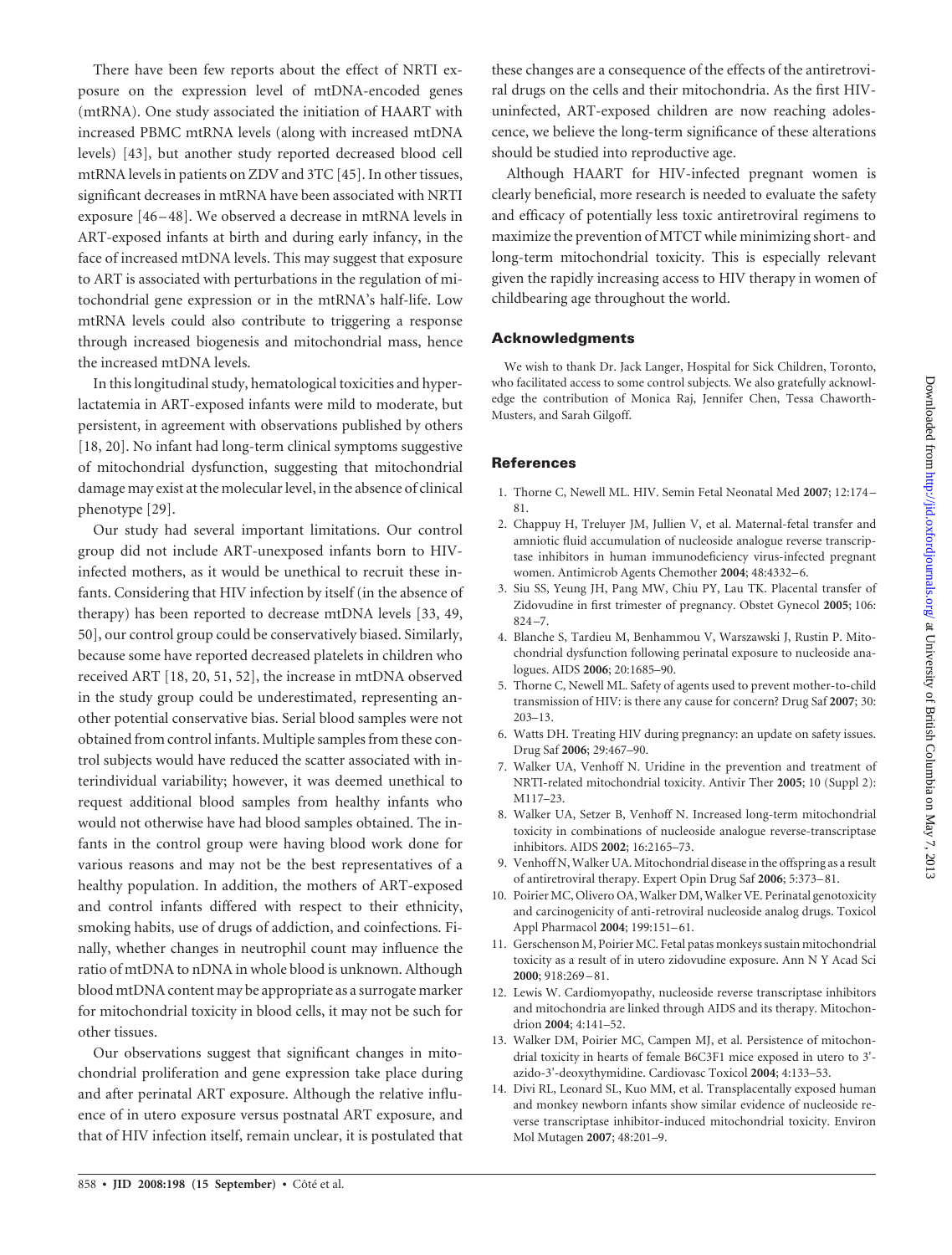There have been few reports about the effect of NRTI exposure on the expression level of mtDNA-encoded genes (mtRNA). One study associated the initiation of HAART with increased PBMC mtRNA levels (along with increased mtDNA levels) [43], but another study reported decreased blood cell mtRNA levels in patients on ZDV and 3TC [45]. In other tissues, significant decreases in mtRNA have been associated with NRTI exposure [46 – 48]. We observed a decrease in mtRNA levels in ART-exposed infants at birth and during early infancy, in the face of increased mtDNA levels. This may suggest that exposure to ART is associated with perturbations in the regulation of mitochondrial gene expression or in the mtRNA's half-life. Low mtRNA levels could also contribute to triggering a response through increased biogenesis and mitochondrial mass, hence the increased mtDNA levels.

In this longitudinal study, hematological toxicities and hyperlactatemia in ART-exposed infants were mild to moderate, but persistent, in agreement with observations published by others [18, 20]. No infant had long-term clinical symptoms suggestive of mitochondrial dysfunction, suggesting that mitochondrial damage may exist at the molecular level, in the absence of clinical phenotype [29].

Our study had several important limitations. Our control group did not include ART-unexposed infants born to HIVinfected mothers, as it would be unethical to recruit these infants. Considering that HIV infection by itself (in the absence of therapy) has been reported to decrease mtDNA levels [33, 49, 50], our control group could be conservatively biased. Similarly, because some have reported decreased platelets in children who received ART [18, 20, 51, 52], the increase in mtDNA observed in the study group could be underestimated, representing another potential conservative bias. Serial blood samples were not obtained from control infants. Multiple samples from these control subjects would have reduced the scatter associated with interindividual variability; however, it was deemed unethical to request additional blood samples from healthy infants who would not otherwise have had blood samples obtained. The infants in the control group were having blood work done for various reasons and may not be the best representatives of a healthy population. In addition, the mothers of ART-exposed and control infants differed with respect to their ethnicity, smoking habits, use of drugs of addiction, and coinfections. Finally, whether changes in neutrophil count may influence the ratio of mtDNA to nDNA in whole blood is unknown. Although blood mtDNA content may be appropriate as a surrogate marker for mitochondrial toxicity in blood cells, it may not be such for other tissues.

Our observations suggest that significant changes in mitochondrial proliferation and gene expression take place during and after perinatal ART exposure. Although the relative influence of in utero exposure versus postnatal ART exposure, and that of HIV infection itself, remain unclear, it is postulated that

these changes are a consequence of the effects of the antiretroviral drugs on the cells and their mitochondria. As the first HIVuninfected, ART-exposed children are now reaching adolescence, we believe the long-term significance of these alterations should be studied into reproductive age.

Although HAART for HIV-infected pregnant women is clearly beneficial, more research is needed to evaluate the safety and efficacy of potentially less toxic antiretroviral regimens to maximize the prevention of MTCT while minimizing short- and long-term mitochondrial toxicity. This is especially relevant given the rapidly increasing access to HIV therapy in women of childbearing age throughout the world.

## **Acknowledgments**

We wish to thank Dr. Jack Langer, Hospital for Sick Children, Toronto, who facilitated access to some control subjects. We also gratefully acknowledge the contribution of Monica Raj, Jennifer Chen, Tessa Chaworth-Musters, and Sarah Gilgoff.

### **References**

- 1. Thorne C, Newell ML. HIV. Semin Fetal Neonatal Med **2007**; 12:174 81.
- 2. Chappuy H, Treluyer JM, Jullien V, et al. Maternal-fetal transfer and amniotic fluid accumulation of nucleoside analogue reverse transcriptase inhibitors in human immunodeficiency virus-infected pregnant women. Antimicrob Agents Chemother **2004**; 48:4332– 6.
- 3. Siu SS, Yeung JH, Pang MW, Chiu PY, Lau TK. Placental transfer of Zidovudine in first trimester of pregnancy. Obstet Gynecol **2005**; 106:  $824 - 7.$
- 4. Blanche S, Tardieu M, Benhammou V, Warszawski J, Rustin P. Mitochondrial dysfunction following perinatal exposure to nucleoside analogues. AIDS **2006**; 20:1685–90.
- 5. Thorne C, Newell ML. Safety of agents used to prevent mother-to-child transmission of HIV: is there any cause for concern? Drug Saf **2007**; 30: 203–13.
- 6. Watts DH. Treating HIV during pregnancy: an update on safety issues. Drug Saf **2006**; 29:467–90.
- 7. Walker UA, Venhoff N. Uridine in the prevention and treatment of NRTI-related mitochondrial toxicity. Antivir Ther **2005**; 10 (Suppl 2): M117–23.
- 8. Walker UA, Setzer B, Venhoff N. Increased long-term mitochondrial toxicity in combinations of nucleoside analogue reverse-transcriptase inhibitors. AIDS **2002**; 16:2165–73.
- 9. Venhoff N, Walker UA. Mitochondrial disease in the offspring as a result of antiretroviral therapy. Expert Opin Drug Saf **2006**; 5:373– 81.
- 10. Poirier MC, Olivero OA, Walker DM, Walker VE. Perinatal genotoxicity and carcinogenicity of anti-retroviral nucleoside analog drugs. Toxicol Appl Pharmacol 2004; 199:151-61.
- 11. Gerschenson M, Poirier MC. Fetal patas monkeys sustain mitochondrial toxicity as a result of in utero zidovudine exposure. Ann N Y Acad Sci **2000**; 918:269 – 81.
- 12. Lewis W. Cardiomyopathy, nucleoside reverse transcriptase inhibitors and mitochondria are linked through AIDS and its therapy. Mitochondrion **2004**; 4:141–52.
- 13. Walker DM, Poirier MC, Campen MJ, et al. Persistence of mitochondrial toxicity in hearts of female B6C3F1 mice exposed in utero to 3' azido-3'-deoxythymidine. Cardiovasc Toxicol **2004**; 4:133–53.
- 14. Divi RL, Leonard SL, Kuo MM, et al. Transplacentally exposed human and monkey newborn infants show similar evidence of nucleoside reverse transcriptase inhibitor-induced mitochondrial toxicity. Environ Mol Mutagen **2007**; 48:201–9.